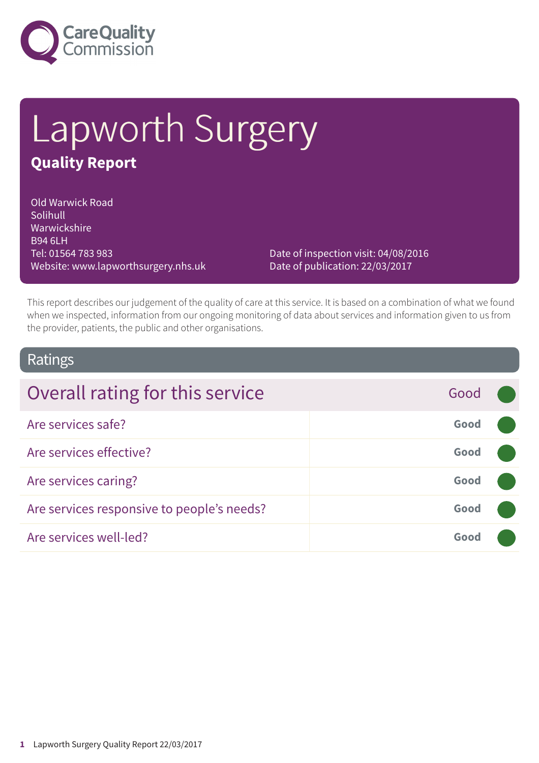

# Lapworth Surgery **Quality Report**

Old Warwick Road Solihull Warwickshire B94 6LH Tel: 01564 783 983 Website: www.lapworthsurgery.nhs.uk

Date of inspection visit: 04/08/2016 Date of publication: 22/03/2017

This report describes our judgement of the quality of care at this service. It is based on a combination of what we found when we inspected, information from our ongoing monitoring of data about services and information given to us from the provider, patients, the public and other organisations.

### Ratings

| Overall rating for this service            | Good |  |
|--------------------------------------------|------|--|
| Are services safe?                         | Good |  |
| Are services effective?                    | Good |  |
| Are services caring?                       | Good |  |
| Are services responsive to people's needs? | Good |  |
| Are services well-led?                     | Good |  |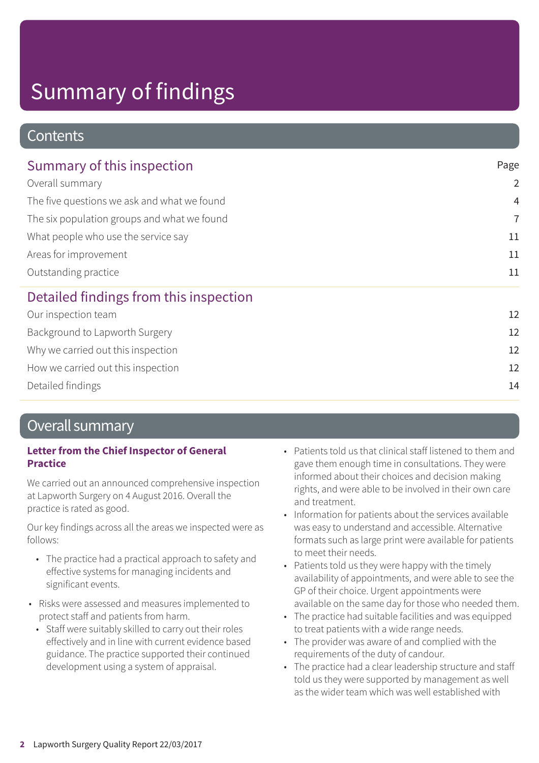### **Contents**

| Summary of this inspection                  | Page           |  |
|---------------------------------------------|----------------|--|
| Overall summary                             | $\overline{2}$ |  |
| The five questions we ask and what we found | $\overline{4}$ |  |
| The six population groups and what we found | $\overline{7}$ |  |
| What people who use the service say         | 11             |  |
| Areas for improvement                       | 11             |  |
| Outstanding practice                        | 11             |  |
| Detailed findings from this inspection      |                |  |
| Our inspection team                         | 12             |  |
| Background to Lapworth Surgery              | 12             |  |
| Why we carried out this inspection          | 12             |  |
| How we carried out this inspection          | 12             |  |

Detailed findings 14

### Overall summary

### **Letter from the Chief Inspector of General Practice**

We carried out an announced comprehensive inspection at Lapworth Surgery on 4 August 2016. Overall the practice is rated as good.

Our key findings across all the areas we inspected were as follows:

- The practice had a practical approach to safety and effective systems for managing incidents and significant events.
- Risks were assessed and measures implemented to protect staff and patients from harm.
	- Staff were suitably skilled to carry out their roles effectively and in line with current evidence based guidance. The practice supported their continued development using a system of appraisal.
- Patients told us that clinical staff listened to them and gave them enough time in consultations. They were informed about their choices and decision making rights, and were able to be involved in their own care and treatment.
- Information for patients about the services available was easy to understand and accessible. Alternative formats such as large print were available for patients to meet their needs.
- Patients told us they were happy with the timely availability of appointments, and were able to see the GP of their choice. Urgent appointments were available on the same day for those who needed them.
- The practice had suitable facilities and was equipped to treat patients with a wide range needs.
- The provider was aware of and complied with the requirements of the duty of candour.
- The practice had a clear leadership structure and staff told us they were supported by management as well as the wider team which was well established with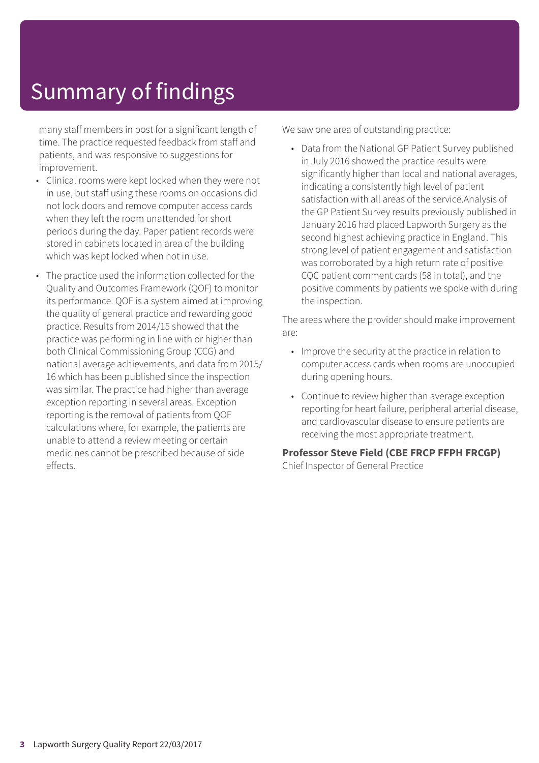many staff members in post for a significant length of time. The practice requested feedback from staff and patients, and was responsive to suggestions for improvement.

- Clinical rooms were kept locked when they were not in use, but staff using these rooms on occasions did not lock doors and remove computer access cards when they left the room unattended for short periods during the day. Paper patient records were stored in cabinets located in area of the building which was kept locked when not in use.
- The practice used the information collected for the Quality and Outcomes Framework (QOF) to monitor its performance. QOF is a system aimed at improving the quality of general practice and rewarding good practice. Results from 2014/15 showed that the practice was performing in line with or higher than both Clinical Commissioning Group (CCG) and national average achievements, and data from 2015/ 16 which has been published since the inspection was similar. The practice had higher than average exception reporting in several areas. Exception reporting is the removal of patients from QOF calculations where, for example, the patients are unable to attend a review meeting or certain medicines cannot be prescribed because of side effects.

We saw one area of outstanding practice:

• Data from the National GP Patient Survey published in July 2016 showed the practice results were significantly higher than local and national averages, indicating a consistently high level of patient satisfaction with all areas of the service.Analysis of the GP Patient Survey results previously published in January 2016 had placed Lapworth Surgery as the second highest achieving practice in England. This strong level of patient engagement and satisfaction was corroborated by a high return rate of positive CQC patient comment cards (58 in total), and the positive comments by patients we spoke with during the inspection.

The areas where the provider should make improvement are:

- Improve the security at the practice in relation to computer access cards when rooms are unoccupied during opening hours.
- Continue to review higher than average exception reporting for heart failure, peripheral arterial disease, and cardiovascular disease to ensure patients are receiving the most appropriate treatment.

**Professor Steve Field (CBE FRCP FFPH FRCGP)** Chief Inspector of General Practice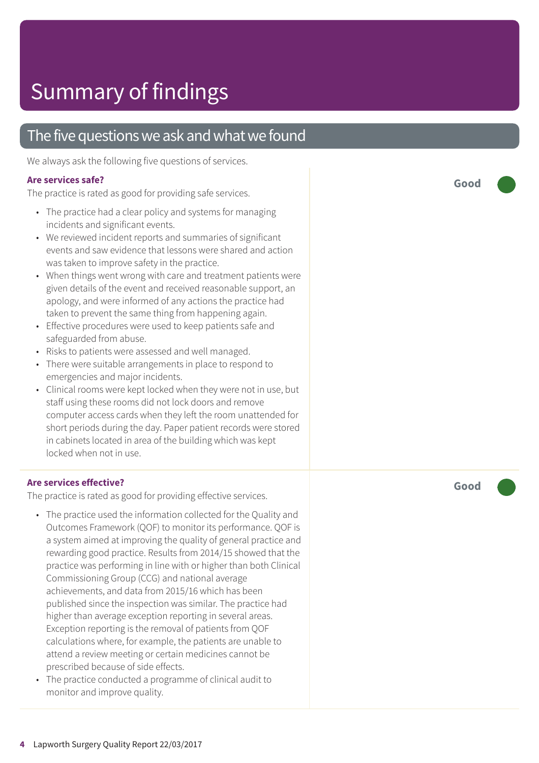### The five questions we ask and what we found

We always ask the following five questions of services.

#### **Ar e services safe ?**

The practic e is rated as good for providing saf e services.

- The practic e had a clear polic y and systems for managing incidents and significant events.
- We reviewed incident reports and summaries of significant events and saw evidence that lessons were shared and action was taken t o improve saf ety in the practice.
- When things went wrong with care and treatment patients were given de tails of the event and received r easonable support , an apology , and wer e informed of any actions the practic e had taken t o pr event the same thing from happening again.
- Effective procedures were used to keep patients safe and saf eguarded from abuse.
- Risks t o patients wer e assessed and well managed.
- There were suitable arrangements in place to respond to emer gencies and major incidents.
- Clinical rooms were kept locked when they were not in use, but staff using these rooms did not lock door s and remove computer ac cess cards when the y left the room unattended for short periods during the day. Paper patient records wer e stored in cabinets located in ar e a of the building which was kept locked when not in use.

#### **Ar e services effective ?**

The practic e is rated as good for providing effective services.

- The practic e used the information collected for the Quality and Outcomes Framework (QOF) to monitor its performance. QOF is a system aimed at improving the quality of general practic e and rewarding good practice. Results from 2014/15 showed that the practic e was performing in line with or higher than both Clinical Commissioning Group (C CG) and national averag e achievements, and dat a from 2015/16 which has been published sinc e the inspection was similar. The practic e had higher than averag e ex ception reporting in several ar eas. Exception reporting is the removal of patients from QOF calculations where, for example, the patients ar e unable t o attend a review meeting or certain medicines cannot be prescribed because of side effects.
- The practice conducted a programme of clinical audit to monitor and improve quality.

**Good –––**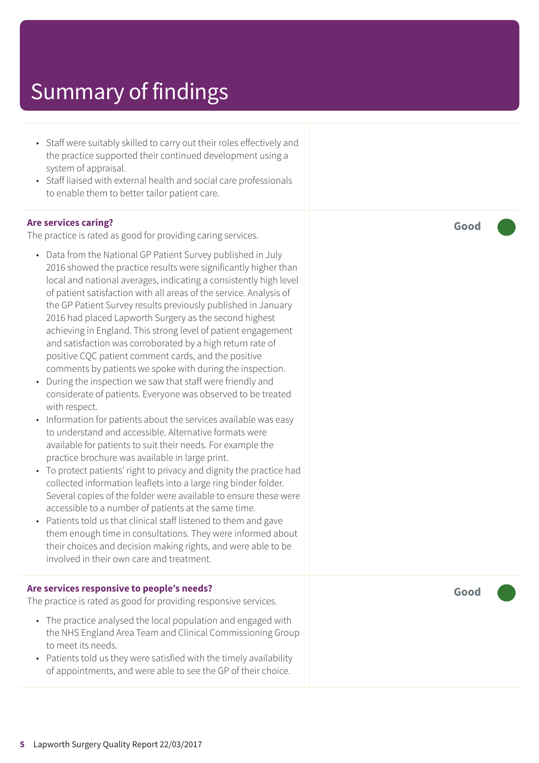- Staff were suitably skilled to carry out their roles effectively and the practice supported their continued development using a system of appraisal.
- Staff liaised with external health and social care professionals to enable them to better tailor patient care.

#### **Are services caring?**

The practice is rated as good for providing caring services.

- Data from the National GP Patient Survey published in July 2016 showed the practice results were significantly higher than local and national averages, indicating a consistently high level of patient satisfaction with all areas of the service. Analysis of the GP Patient Survey results previously published in January 2016 had placed Lapworth Surgery as the second highest achieving in England. This strong level of patient engagement and satisfaction was corroborated by a high return rate of positive CQC patient comment cards, and the positive comments by patients we spoke with during the inspection.
- During the inspection we saw that staff were friendly and considerate of patients. Everyone was observed to be treated with respect.
- Information for patients about the services available was easy to understand and accessible. Alternative formats were available for patients to suit their needs. For example the practice brochure was available in large print.
- To protect patients' right to privacy and dignity the practice had collected information leaflets into a large ring binder folder. Several copies of the folder were available to ensure these were accessible to a number of patients at the same time.
- Patients told us that clinical staff listened to them and gave them enough time in consultations. They were informed about their choices and decision making rights, and were able to be involved in their own care and treatment.

#### **Are services responsive to people's needs?**

The practice is rated as good for providing responsive services.

- The practice analysed the local population and engaged with the NHS England Area Team and Clinical Commissioning Group to meet its needs.
- Patients told us they were satisfied with the timely availability of appointments, and were able to see the GP of their choice.

**Good –––**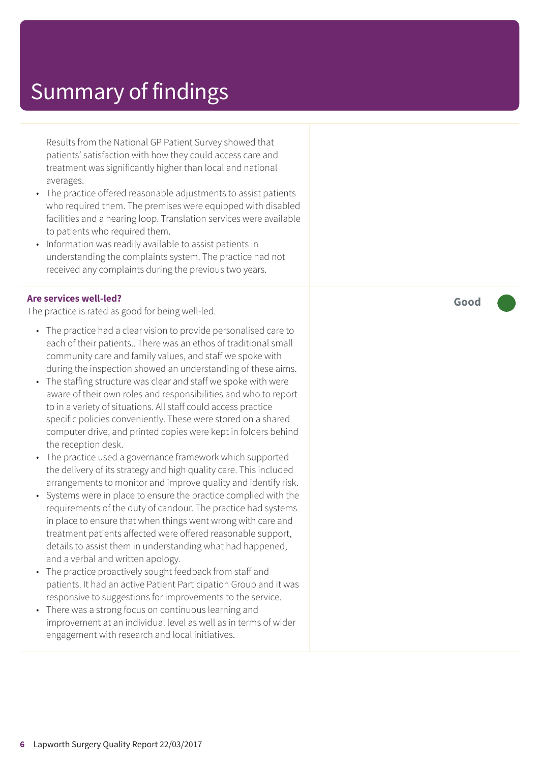Results from the National GP Patient Survey showed that patients' satisfaction with how they could access care and treatment was significantly higher than local and national averages.

- The practice offered reasonable adjustments to assist patients who required them. The premises were equipped with disabled facilities and a hearing loop. Translation services were available to patients who required them.
- Information was readily available to assist patients in understanding the complaints system. The practice had not received any complaints during the previous two years.

#### **Are services well-led?**

The practice is rated as good for being well-led.

- The practice had a clear vision to provide personalised care to each of their patients.. There was an ethos of traditional small community care and family values, and staff we spoke with during the inspection showed an understanding of these aims.
- The staffing structure was clear and staff we spoke with were aware of their own roles and responsibilities and who to report to in a variety of situations. All staff could access practice specific policies conveniently. These were stored on a shared computer drive, and printed copies were kept in folders behind the reception desk.
- The practice used a governance framework which supported the delivery of its strategy and high quality care. This included arrangements to monitor and improve quality and identify risk.
- Systems were in place to ensure the practice complied with the requirements of the duty of candour. The practice had systems in place to ensure that when things went wrong with care and treatment patients affected were offered reasonable support, details to assist them in understanding what had happened, and a verbal and written apology.
- The practice proactively sought feedback from staff and patients. It had an active Patient Participation Group and it was responsive to suggestions for improvements to the service.
- There was a strong focus on continuous learning and improvement at an individual level as well as in terms of wider engagement with research and local initiatives.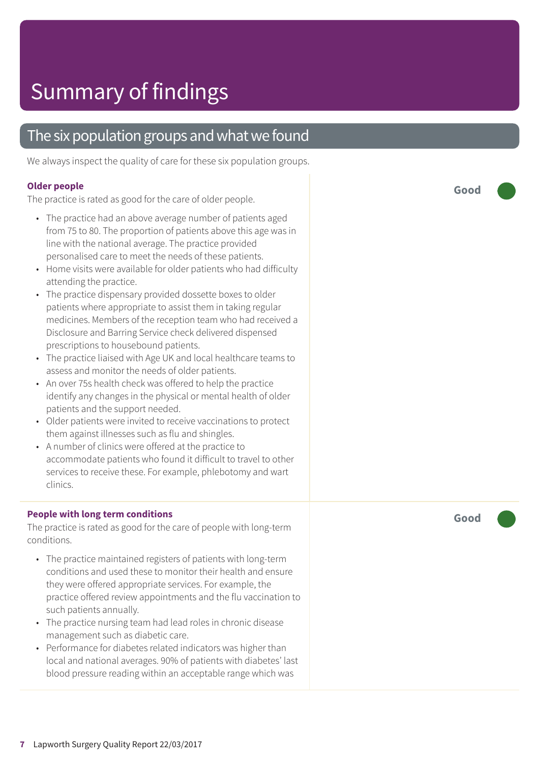### The six population groups and what we found

We always inspect the quality of care for these six population groups.

#### **Older people**

The practice is rated as good for the care of older people.

- The practice had an above average number of patients aged from 75 to 80. The proportion of patients above this age was in line with the national average. The practice provided personalised care to meet the needs of these patients.
- Home visits were available for older patients who had difficulty attending the practice.
- The practice dispensary provided dossette boxes to older patients where appropriate to assist them in taking regular medicines. Members of the reception team who had received a Disclosure and Barring Service check delivered dispensed prescriptions to housebound patients.
- The practice liaised with Age UK and local healthcare teams to assess and monitor the needs of older patients.
- An over 75s health check was offered to help the practice identify any changes in the physical or mental health of older patients and the support needed.
- Older patients were invited to receive vaccinations to protect them against illnesses such as flu and shingles.
- A number of clinics were offered at the practice to accommodate patients who found it difficult to travel to other services to receive these. For example, phlebotomy and wart clinics.

#### **People with long term conditions**

The practice is rated as good for the care of people with long-term conditions.

- The practice maintained registers of patients with long-term conditions and used these to monitor their health and ensure they were offered appropriate services. For example, the practice offered review appointments and the flu vaccination to such patients annually.
- The practice nursing team had lead roles in chronic disease management such as diabetic care.
- Performance for diabetes related indicators was higher than local and national averages. 90% of patients with diabetes' last blood pressure reading within an acceptable range which was

**Good –––**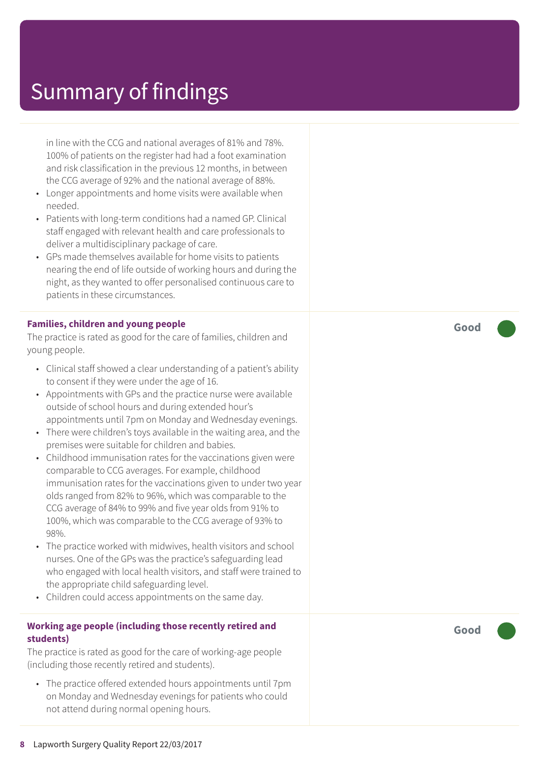in line with the CCG and national averages of 81% and 78%. 100% of patients on the register had had a foot examination and risk classification in the previous 12 months, in between the CCG average of 92% and the national average of 88%.

- Longer appointments and home visits were available when needed.
- Patients with long-term conditions had a named GP. Clinical staff engaged with relevant health and care professionals to deliver a multidisciplinary package of care.
- GPs made themselves available for home visits to patients nearing the end of life outside of working hours and during the night, as they wanted to offer personalised continuous care to patients in these circumstances.

#### **Families, children and young people**

The practice is rated as good for the care of families, children and young people.

- Clinical staff showed a clear understanding of a patient's ability to consent if they were under the age of 16.
- Appointments with GPs and the practice nurse were available outside of school hours and during extended hour's appointments until 7pm on Monday and Wednesday evenings.
- There were children's toys available in the waiting area, and the premises were suitable for children and babies.
- Childhood immunisation rates for the vaccinations given were comparable to CCG averages. For example, childhood immunisation rates for the vaccinations given to under two year olds ranged from 82% to 96%, which was comparable to the CCG average of 84% to 99% and five year olds from 91% to 100%, which was comparable to the CCG average of 93% to 98%.
- The practice worked with midwives, health visitors and school nurses. One of the GPs was the practice's safeguarding lead who engaged with local health visitors, and staff were trained to the appropriate child safeguarding level.
- Children could access appointments on the same day.

#### **Working age people (including those recently retired and students)**

The practice is rated as good for the care of working-age people (including those recently retired and students).

• The practice offered extended hours appointments until 7pm on Monday and Wednesday evenings for patients who could not attend during normal opening hours.

**Good –––**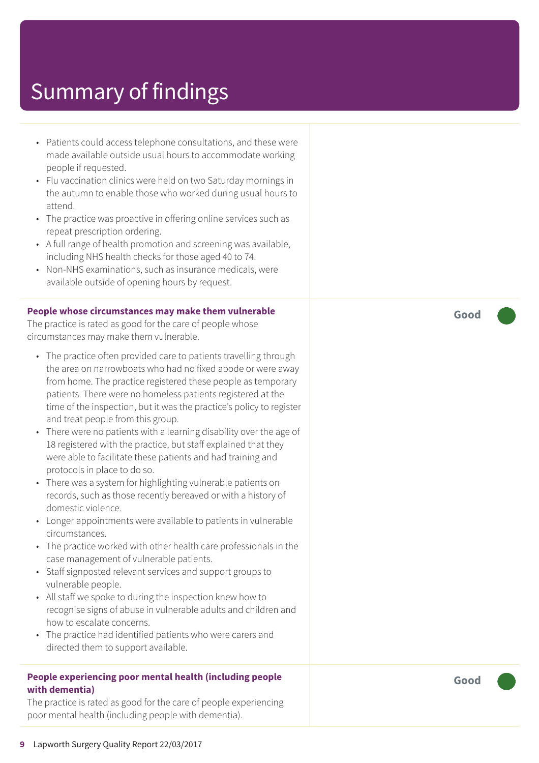- Patients could access telephone consultations, and these were made available outside usual hours to accommodate working people if requested.
- Flu vaccination clinics were held on two Saturday mornings in the autumn to enable those who worked during usual hours to attend.
- The practice was proactive in offering online services such as repeat prescription ordering.
- A full range of health promotion and screening was available, including NHS health checks for those aged 40 to 74.
- Non-NHS examinations, such as insurance medicals, were available outside of opening hours by request.

#### **People whose circumstances may make them vulnerable**

The practice is rated as good for the care of people whose circumstances may make them vulnerable.

- The practice often provided care to patients travelling through the area on narrowboats who had no fixed abode or were away from home. The practice registered these people as temporary patients. There were no homeless patients registered at the time of the inspection, but it was the practice's policy to register and treat people from this group.
- There were no patients with a learning disability over the age of 18 registered with the practice, but staff explained that they were able to facilitate these patients and had training and protocols in place to do so.
- There was a system for highlighting vulnerable patients on records, such as those recently bereaved or with a history of domestic violence.
- Longer appointments were available to patients in vulnerable circumstances.
- The practice worked with other health care professionals in the case management of vulnerable patients.
- Staff signposted relevant services and support groups to vulnerable people.
- All staff we spoke to during the inspection knew how to recognise signs of abuse in vulnerable adults and children and how to escalate concerns.
- The practice had identified patients who were carers and directed them to support available.

#### **People experiencing poor mental health (including people with dementia)**

The practice is rated as good for the care of people experiencing poor mental health (including people with dementia).

**Good –––**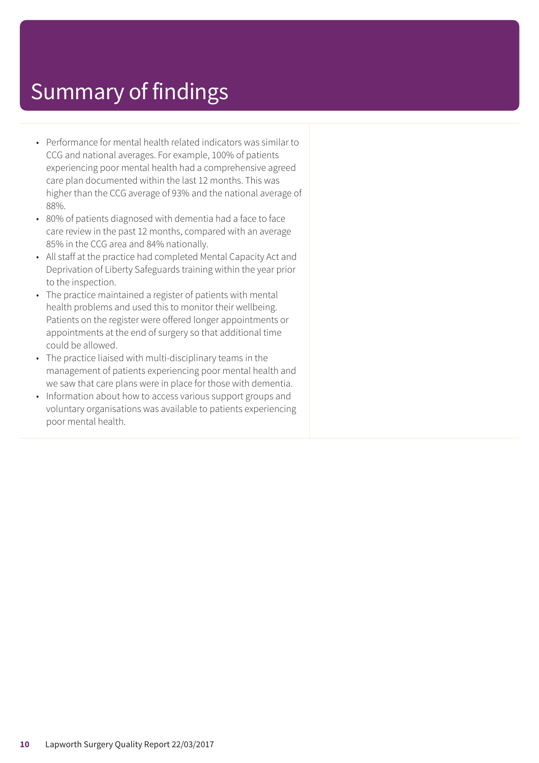- Performance for mental health related indicators was similar to CCG and national averages. For example, 100% of patients experiencing poor mental health had a comprehensive agreed care plan documented within the last 12 months. This was higher than the CCG average of 93% and the national average of 88%.
- 80% of patients diagnosed with dementia had a face to face care review in the past 12 months, compared with an average 85% in the CCG area and 84% nationally.
- All staff at the practice had completed Mental Capacity Act and Deprivation of Liberty Safeguards training within the year prior to the inspection.
- The practice maintained a register of patients with mental health problems and used this to monitor their wellbeing. Patients on the register were offered longer appointments or appointments at the end of surgery so that additional time could be allowed.
- The practice liaised with multi-disciplinary teams in the management of patients experiencing poor mental health and we saw that care plans were in place for those with dementia.
- Information about how to access various support groups and voluntary organisations was available to patients experiencing poor mental health.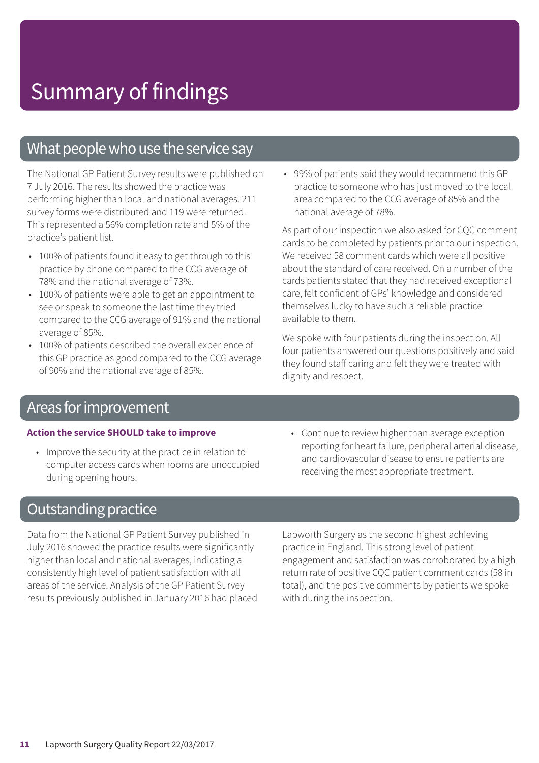### What people who use the service say

The National GP Patient Survey results were published on 7 July 2016. The results showed the practice was performing higher than local and national averages. 211 survey forms were distributed and 119 were returned. This represented a 56% completion rate and 5% of the practice's patient list.

- 100% of patients found it easy to get through to this practice by phone compared to the CCG average of 78% and the national average of 73%.
- 100% of patients were able to get an appointment to see or speak to someone the last time they tried compared to the CCG average of 91% and the national average of 85%.
- 100% of patients described the overall experience of this GP practice as good compared to the CCG average of 90% and the national average of 85%.

• 99% of patients said they would recommend this GP practice to someone who has just moved to the local area compared to the CCG average of 85% and the national average of 78%.

As part of our inspection we also asked for CQC comment cards to be completed by patients prior to our inspection. We received 58 comment cards which were all positive about the standard of care received. On a number of the cards patients stated that they had received exceptional care, felt confident of GPs' knowledge and considered themselves lucky to have such a reliable practice available to them.

We spoke with four patients during the inspection. All four patients answered our questions positively and said they found staff caring and felt they were treated with dignity and respect.

### Areas for improvement

#### **Action the service SHOULD take to improve**

- Improve the security at the practice in relation to computer access cards when rooms are unoccupied during opening hours.
- Continue to review higher than average exception reporting for heart failure, peripheral arterial disease, and cardiovascular disease to ensure patients are receiving the most appropriate treatment.

### **Outstanding practice**

Data from the National GP Patient Survey published in July 2016 showed the practice results were significantly higher than local and national averages, indicating a consistently high level of patient satisfaction with all areas of the service. Analysis of the GP Patient Survey results previously published in January 2016 had placed Lapworth Surgery as the second highest achieving practice in England. This strong level of patient engagement and satisfaction was corroborated by a high return rate of positive CQC patient comment cards (58 in total), and the positive comments by patients we spoke with during the inspection.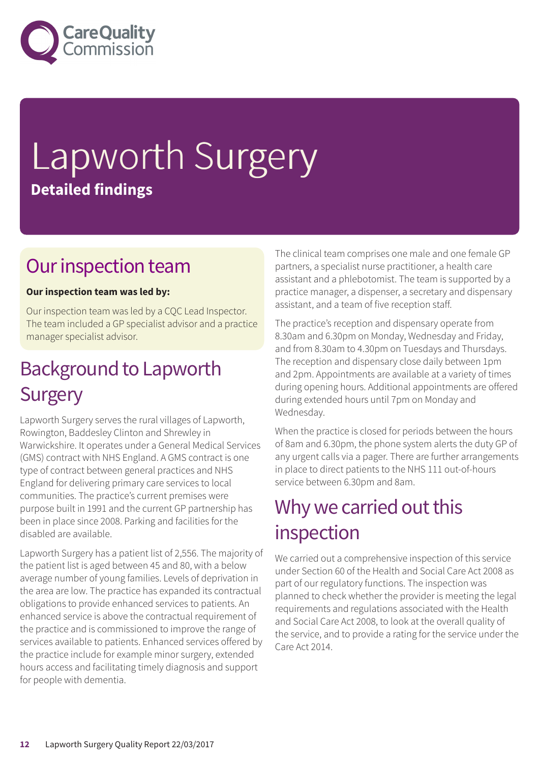

# Lapworth Surgery **Detailed findings**

### Our inspection team

### **Our inspection team was led by:**

Our inspection team was led by a CQC Lead Inspector. The team included a GP specialist advisor and a practice manager specialist advisor.

### **Background to Lapworth Surgery**

Lapworth Surgery serves the rural villages of Lapworth, Rowington, Baddesley Clinton and Shrewley in Warwickshire. It operates under a General Medical Services (GMS) contract with NHS England. A GMS contract is one type of contract between general practices and NHS England for delivering primary care services to local communities. The practice's current premises were purpose built in 1991 and the current GP partnership has been in place since 2008. Parking and facilities for the disabled are available.

Lapworth Surgery has a patient list of 2,556. The majority of the patient list is aged between 45 and 80, with a below average number of young families. Levels of deprivation in the area are low. The practice has expanded its contractual obligations to provide enhanced services to patients. An enhanced service is above the contractual requirement of the practice and is commissioned to improve the range of services available to patients. Enhanced services offered by the practice include for example minor surgery, extended hours access and facilitating timely diagnosis and support for people with dementia.

The clinical team comprises one male and one female GP partners, a specialist nurse practitioner, a health care assistant and a phlebotomist. The team is supported by a practice manager, a dispenser, a secretary and dispensary assistant, and a team of five reception staff.

The practice's reception and dispensary operate from 8.30am and 6.30pm on Monday, Wednesday and Friday, and from 8.30am to 4.30pm on Tuesdays and Thursdays. The reception and dispensary close daily between 1pm and 2pm. Appointments are available at a variety of times during opening hours. Additional appointments are offered during extended hours until 7pm on Monday and Wednesday.

When the practice is closed for periods between the hours of 8am and 6.30pm, the phone system alerts the duty GP of any urgent calls via a pager. There are further arrangements in place to direct patients to the NHS 111 out-of-hours service between 6.30pm and 8am.

### Why we carried out this inspection

We carried out a comprehensive inspection of this service under Section 60 of the Health and Social Care Act 2008 as part of our regulatory functions. The inspection was planned to check whether the provider is meeting the legal requirements and regulations associated with the Health and Social Care Act 2008, to look at the overall quality of the service, and to provide a rating for the service under the Care Act 2014.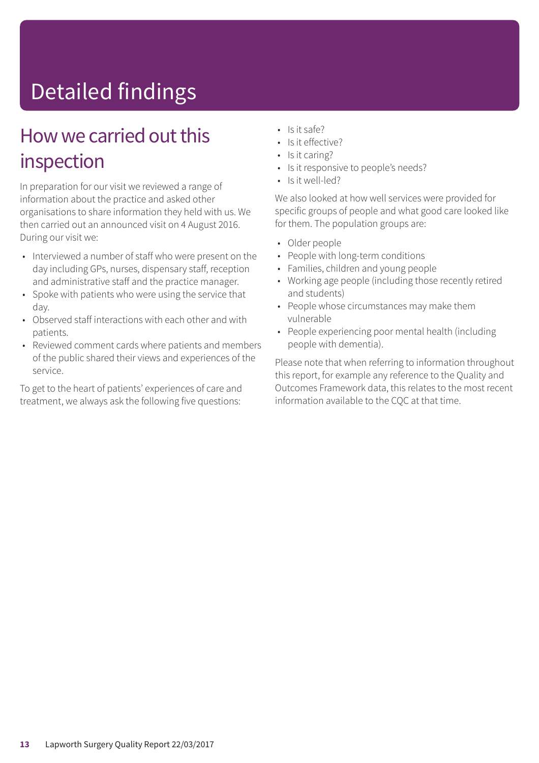# Detailed findings

### How we carried out this inspection

In preparation for our visit we reviewed a range of information about the practice and asked other organisations to share information they held with us. We then carried out an announced visit on 4 August 2016. During our visit we:

- Interviewed a number of staff who were present on the day including GPs, nurses, dispensary staff, reception and administrative staff and the practice manager.
- Spoke with patients who were using the service that day.
- Observed staff interactions with each other and with patients.
- Reviewed comment cards where patients and members of the public shared their views and experiences of the service.

To get to the heart of patients' experiences of care and treatment, we always ask the following five questions:

- Is it safe?
- Is it effective?
- Is it caring?
- Is it responsive to people's needs?
- Is it well-led?

We also looked at how well services were provided for specific groups of people and what good care looked like for them. The population groups are:

- Older people
- People with long-term conditions
- Families, children and young people
- Working age people (including those recently retired and students)
- People whose circumstances may make them vulnerable
- People experiencing poor mental health (including people with dementia).

Please note that when referring to information throughout this report, for example any reference to the Quality and Outcomes Framework data, this relates to the most recent information available to the CQC at that time.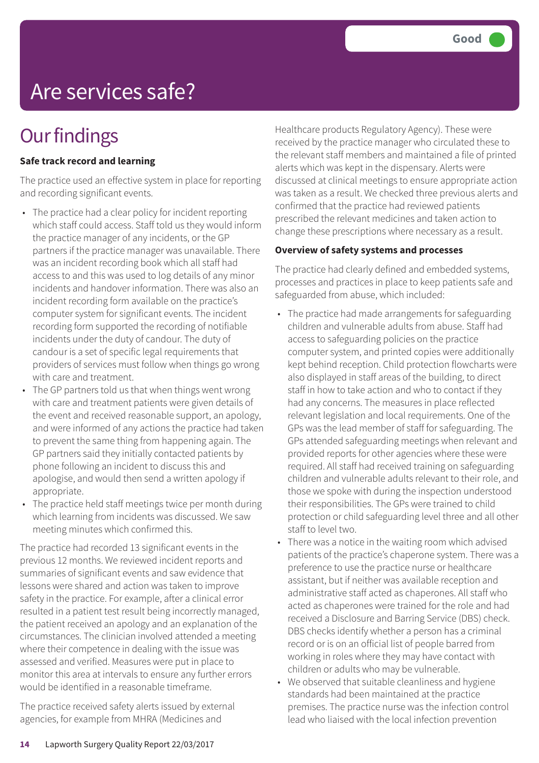# Are services safe?

### **Our findings**

### **Safe track record and learning**

The practice used an effective system in place for reporting and recording significant events.

- The practice had a clear policy for incident reporting which staff could access. Staff told us they would inform the practice manager of any incidents, or the GP partners if the practice manager was unavailable. There was an incident recording book which all staff had access to and this was used to log details of any minor incidents and handover information. There was also an incident recording form available on the practice's computer system for significant events. The incident recording form supported the recording of notifiable incidents under the duty of candour. The duty of candour is a set of specific legal requirements that providers of services must follow when things go wrong with care and treatment.
- The GP partners told us that when things went wrong with care and treatment patients were given details of the event and received reasonable support, an apology, and were informed of any actions the practice had taken to prevent the same thing from happening again. The GP partners said they initially contacted patients by phone following an incident to discuss this and apologise, and would then send a written apology if appropriate.
- The practice held staff meetings twice per month during which learning from incidents was discussed. We saw meeting minutes which confirmed this.

The practice had recorded 13 significant events in the previous 12 months. We reviewed incident reports and summaries of significant events and saw evidence that lessons were shared and action was taken to improve safety in the practice. For example, after a clinical error resulted in a patient test result being incorrectly managed, the patient received an apology and an explanation of the circumstances. The clinician involved attended a meeting where their competence in dealing with the issue was assessed and verified. Measures were put in place to monitor this area at intervals to ensure any further errors would be identified in a reasonable timeframe.

The practice received safety alerts issued by external agencies, for example from MHRA (Medicines and

Healthcare products Regulatory Agency). These were received by the practice manager who circulated these to the relevant staff members and maintained a file of printed alerts which was kept in the dispensary. Alerts were discussed at clinical meetings to ensure appropriate action was taken as a result. We checked three previous alerts and confirmed that the practice had reviewed patients prescribed the relevant medicines and taken action to change these prescriptions where necessary as a result.

#### **Overview of safety systems and processes**

The practice had clearly defined and embedded systems, processes and practices in place to keep patients safe and safeguarded from abuse, which included:

- The practice had made arrangements for safeguarding children and vulnerable adults from abuse. Staff had access to safeguarding policies on the practice computer system, and printed copies were additionally kept behind reception. Child protection flowcharts were also displayed in staff areas of the building, to direct staff in how to take action and who to contact if they had any concerns. The measures in place reflected relevant legislation and local requirements. One of the GPs was the lead member of staff for safeguarding. The GPs attended safeguarding meetings when relevant and provided reports for other agencies where these were required. All staff had received training on safeguarding children and vulnerable adults relevant to their role, and those we spoke with during the inspection understood their responsibilities. The GPs were trained to child protection or child safeguarding level three and all other staff to level two.
- There was a notice in the waiting room which advised patients of the practice's chaperone system. There was a preference to use the practice nurse or healthcare assistant, but if neither was available reception and administrative staff acted as chaperones. All staff who acted as chaperones were trained for the role and had received a Disclosure and Barring Service (DBS) check. DBS checks identify whether a person has a criminal record or is on an official list of people barred from working in roles where they may have contact with children or adults who may be vulnerable.
- We observed that suitable cleanliness and hygiene standards had been maintained at the practice premises. The practice nurse was the infection control lead who liaised with the local infection prevention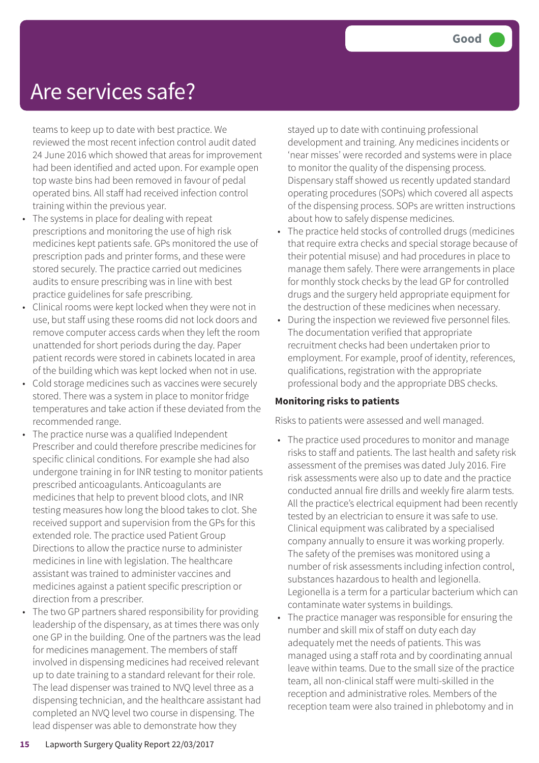### Are services safe?

teams to keep up to date with best practice. We reviewed the most recent infection control audit dated 24 June 2016 which showed that areas for improvement had been identified and acted upon. For example open top waste bins had been removed in favour of pedal operated bins. All staff had received infection control training within the previous year.

- The systems in place for dealing with repeat prescriptions and monitoring the use of high risk medicines kept patients safe. GPs monitored the use of prescription pads and printer forms, and these were stored securely. The practice carried out medicines audits to ensure prescribing was in line with best practice guidelines for safe prescribing.
- Clinical rooms were kept locked when they were not in use, but staff using these rooms did not lock doors and remove computer access cards when they left the room unattended for short periods during the day. Paper patient records were stored in cabinets located in area of the building which was kept locked when not in use.
- Cold storage medicines such as vaccines were securely stored. There was a system in place to monitor fridge temperatures and take action if these deviated from the recommended range.
- The practice nurse was a qualified Independent Prescriber and could therefore prescribe medicines for specific clinical conditions. For example she had also undergone training in for INR testing to monitor patients prescribed anticoagulants. Anticoagulants are medicines that help to prevent blood clots, and INR testing measures how long the blood takes to clot. She received support and supervision from the GPs for this extended role. The practice used Patient Group Directions to allow the practice nurse to administer medicines in line with legislation. The healthcare assistant was trained to administer vaccines and medicines against a patient specific prescription or direction from a prescriber.
- The two GP partners shared responsibility for providing leadership of the dispensary, as at times there was only one GP in the building. One of the partners was the lead for medicines management. The members of staff involved in dispensing medicines had received relevant up to date training to a standard relevant for their role. The lead dispenser was trained to NVQ level three as a dispensing technician, and the healthcare assistant had completed an NVQ level two course in dispensing. The lead dispenser was able to demonstrate how they

stayed up to date with continuing professional development and training. Any medicines incidents or 'near misses' were recorded and systems were in place to monitor the quality of the dispensing process. Dispensary staff showed us recently updated standard operating procedures (SOPs) which covered all aspects of the dispensing process. SOPs are written instructions about how to safely dispense medicines.

- The practice held stocks of controlled drugs (medicines that require extra checks and special storage because of their potential misuse) and had procedures in place to manage them safely. There were arrangements in place for monthly stock checks by the lead GP for controlled drugs and the surgery held appropriate equipment for the destruction of these medicines when necessary.
- During the inspection we reviewed five personnel files. The documentation verified that appropriate recruitment checks had been undertaken prior to employment. For example, proof of identity, references, qualifications, registration with the appropriate professional body and the appropriate DBS checks.

#### **Monitoring risks to patients**

Risks to patients were assessed and well managed.

- The practice used procedures to monitor and manage risks to staff and patients. The last health and safety risk assessment of the premises was dated July 2016. Fire risk assessments were also up to date and the practice conducted annual fire drills and weekly fire alarm tests. All the practice's electrical equipment had been recently tested by an electrician to ensure it was safe to use. Clinical equipment was calibrated by a specialised company annually to ensure it was working properly. The safety of the premises was monitored using a number of risk assessments including infection control, substances hazardous to health and legionella. Legionella is a term for a particular bacterium which can contaminate water systems in buildings.
- The practice manager was responsible for ensuring the number and skill mix of staff on duty each day adequately met the needs of patients. This was managed using a staff rota and by coordinating annual leave within teams. Due to the small size of the practice team, all non-clinical staff were multi-skilled in the reception and administrative roles. Members of the reception team were also trained in phlebotomy and in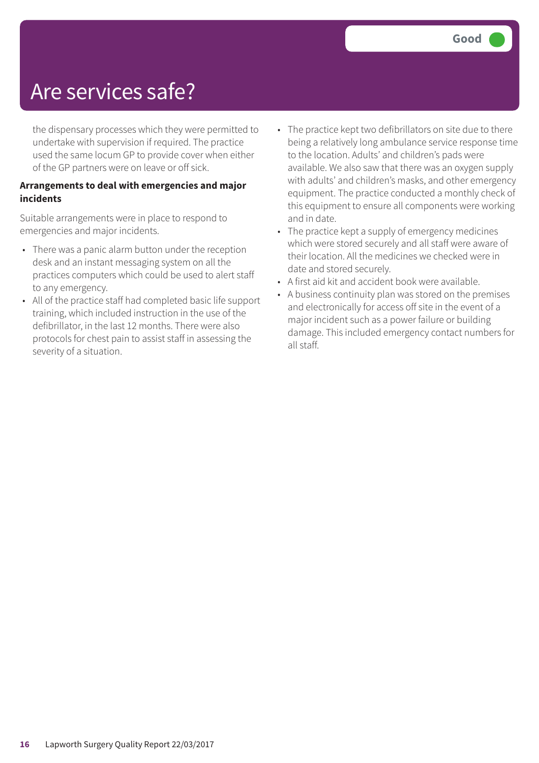### Are services safe?

the dispensary processes which they were permitted to undertake with supervision if required. The practice used the same locum GP to provide cover when either of the GP partners were on leave or off sick.

#### **Arrangements to deal with emergencies and major incidents**

Suitable arrangements were in place to respond to emergencies and major incidents.

- There was a panic alarm button under the reception desk and an instant messaging system on all the practices computers which could be used to alert staff to any emergency.
- All of the practice staff had completed basic life support training, which included instruction in the use of the defibrillator, in the last 12 months. There were also protocols for chest pain to assist staff in assessing the severity of a situation.
- The practice kept two defibrillators on site due to there being a relatively long ambulance service response time to the location. Adults' and children's pads were available. We also saw that there was an oxygen supply with adults' and children's masks, and other emergency equipment. The practice conducted a monthly check of this equipment to ensure all components were working and in date.
- The practice kept a supply of emergency medicines which were stored securely and all staff were aware of their location. All the medicines we checked were in date and stored securely.
- A first aid kit and accident book were available.
- A business continuity plan was stored on the premises and electronically for access off site in the event of a major incident such as a power failure or building damage. This included emergency contact numbers for all staff.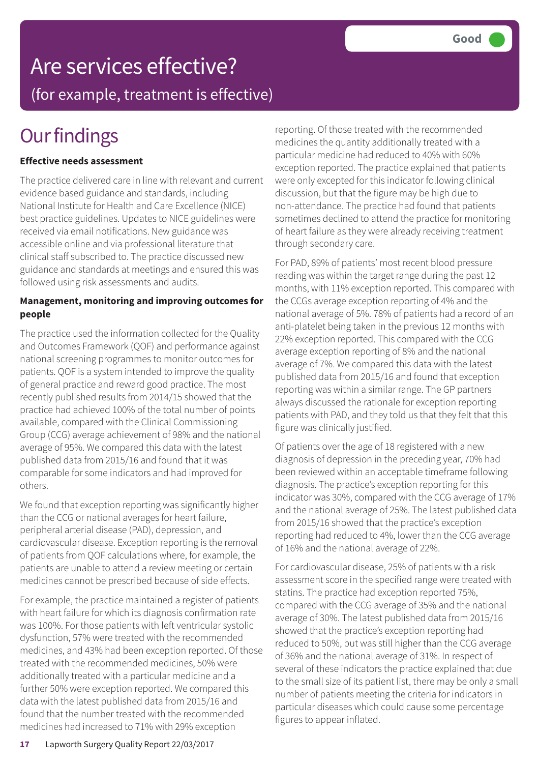# Are services effective?

(for example, treatment is effective)

## **Our findings**

### **Effective needs assessment**

The practice delivered care in line with relevant and current evidence based guidance and standards, including National Institute for Health and Care Excellence (NICE) best practice guidelines. Updates to NICE guidelines were received via email notifications. New guidance was accessible online and via professional literature that clinical staff subscribed to. The practice discussed new guidance and standards at meetings and ensured this was followed using risk assessments and audits.

#### **Management, monitoring and improving outcomes for people**

The practice used the information collected for the Quality and Outcomes Framework (QOF) and performance against national screening programmes to monitor outcomes for patients. QOF is a system intended to improve the quality of general practice and reward good practice. The most recently published results from 2014/15 showed that the practice had achieved 100% of the total number of points available, compared with the Clinical Commissioning Group (CCG) average achievement of 98% and the national average of 95%. We compared this data with the latest published data from 2015/16 and found that it was comparable for some indicators and had improved for others.

We found that exception reporting was significantly higher than the CCG or national averages for heart failure, peripheral arterial disease (PAD), depression, and cardiovascular disease. Exception reporting is the removal of patients from QOF calculations where, for example, the patients are unable to attend a review meeting or certain medicines cannot be prescribed because of side effects.

For example, the practice maintained a register of patients with heart failure for which its diagnosis confirmation rate was 100%. For those patients with left ventricular systolic dysfunction, 57% were treated with the recommended medicines, and 43% had been exception reported. Of those treated with the recommended medicines, 50% were additionally treated with a particular medicine and a further 50% were exception reported. We compared this data with the latest published data from 2015/16 and found that the number treated with the recommended medicines had increased to 71% with 29% exception

reporting. Of those treated with the recommended medicines the quantity additionally treated with a particular medicine had reduced to 40% with 60% exception reported. The practice explained that patients were only excepted for this indicator following clinical discussion, but that the figure may be high due to non-attendance. The practice had found that patients sometimes declined to attend the practice for monitoring of heart failure as they were already receiving treatment through secondary care.

For PAD, 89% of patients' most recent blood pressure reading was within the target range during the past 12 months, with 11% exception reported. This compared with the CCGs average exception reporting of 4% and the national average of 5%. 78% of patients had a record of an anti-platelet being taken in the previous 12 months with 22% exception reported. This compared with the CCG average exception reporting of 8% and the national average of 7%. We compared this data with the latest published data from 2015/16 and found that exception reporting was within a similar range. The GP partners always discussed the rationale for exception reporting patients with PAD, and they told us that they felt that this figure was clinically justified.

Of patients over the age of 18 registered with a new diagnosis of depression in the preceding year, 70% had been reviewed within an acceptable timeframe following diagnosis. The practice's exception reporting for this indicator was 30%, compared with the CCG average of 17% and the national average of 25%. The latest published data from 2015/16 showed that the practice's exception reporting had reduced to 4%, lower than the CCG average of 16% and the national average of 22%.

For cardiovascular disease, 25% of patients with a risk assessment score in the specified range were treated with statins. The practice had exception reported 75%, compared with the CCG average of 35% and the national average of 30%. The latest published data from 2015/16 showed that the practice's exception reporting had reduced to 50%, but was still higher than the CCG average of 36% and the national average of 31%. In respect of several of these indicators the practice explained that due to the small size of its patient list, there may be only a small number of patients meeting the criteria for indicators in particular diseases which could cause some percentage figures to appear inflated.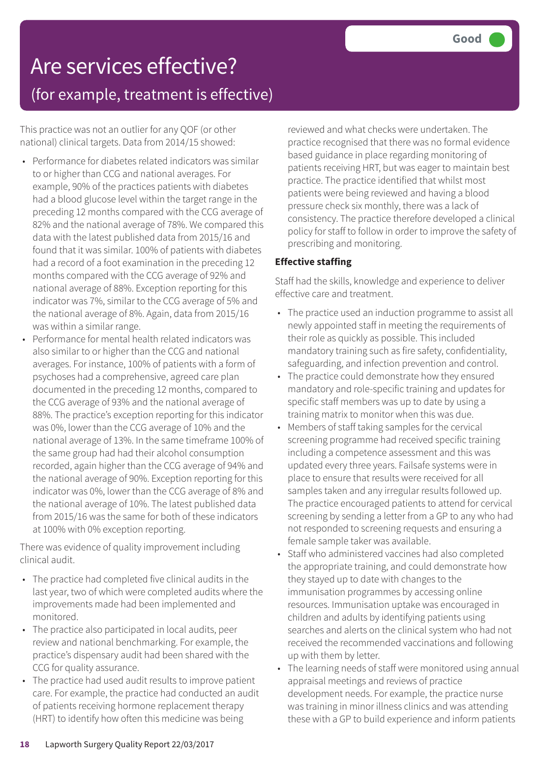# Are services effective?

(for example, treatment is effective)

This practice was not an outlier for any QOF (or other national) clinical targets. Data from 2014/15 showed:

- Performance for diabetes related indicators was similar to or higher than CCG and national averages. For example, 90% of the practices patients with diabetes had a blood glucose level within the target range in the preceding 12 months compared with the CCG average of 82% and the national average of 78%. We compared this data with the latest published data from 2015/16 and found that it was similar. 100% of patients with diabetes had a record of a foot examination in the preceding 12 months compared with the CCG average of 92% and national average of 88%. Exception reporting for this indicator was 7%, similar to the CCG average of 5% and the national average of 8%. Again, data from 2015/16 was within a similar range.
- Performance for mental health related indicators was also similar to or higher than the CCG and national averages. For instance, 100% of patients with a form of psychoses had a comprehensive, agreed care plan documented in the preceding 12 months, compared to the CCG average of 93% and the national average of 88%. The practice's exception reporting for this indicator was 0%, lower than the CCG average of 10% and the national average of 13%. In the same timeframe 100% of the same group had had their alcohol consumption recorded, again higher than the CCG average of 94% and the national average of 90%. Exception reporting for this indicator was 0%, lower than the CCG average of 8% and the national average of 10%. The latest published data from 2015/16 was the same for both of these indicators at 100% with 0% exception reporting.

There was evidence of quality improvement including clinical audit.

- The practice had completed five clinical audits in the last year, two of which were completed audits where the improvements made had been implemented and monitored.
- The practice also participated in local audits, peer review and national benchmarking. For example, the practice's dispensary audit had been shared with the CCG for quality assurance.
- The practice had used audit results to improve patient care. For example, the practice had conducted an audit of patients receiving hormone replacement therapy (HRT) to identify how often this medicine was being

reviewed and what checks were undertaken. The practice recognised that there was no formal evidence based guidance in place regarding monitoring of patients receiving HRT, but was eager to maintain best practice. The practice identified that whilst most patients were being reviewed and having a blood pressure check six monthly, there was a lack of consistency. The practice therefore developed a clinical policy for staff to follow in order to improve the safety of prescribing and monitoring.

### **Effective staffing**

Staff had the skills, knowledge and experience to deliver effective care and treatment.

- The practice used an induction programme to assist all newly appointed staff in meeting the requirements of their role as quickly as possible. This included mandatory training such as fire safety, confidentiality, safeguarding, and infection prevention and control.
- The practice could demonstrate how they ensured mandatory and role-specific training and updates for specific staff members was up to date by using a training matrix to monitor when this was due.
- Members of staff taking samples for the cervical screening programme had received specific training including a competence assessment and this was updated every three years. Failsafe systems were in place to ensure that results were received for all samples taken and any irregular results followed up. The practice encouraged patients to attend for cervical screening by sending a letter from a GP to any who had not responded to screening requests and ensuring a female sample taker was available.
- Staff who administered vaccines had also completed the appropriate training, and could demonstrate how they stayed up to date with changes to the immunisation programmes by accessing online resources. Immunisation uptake was encouraged in children and adults by identifying patients using searches and alerts on the clinical system who had not received the recommended vaccinations and following up with them by letter.
- The learning needs of staff were monitored using annual appraisal meetings and reviews of practice development needs. For example, the practice nurse was training in minor illness clinics and was attending these with a GP to build experience and inform patients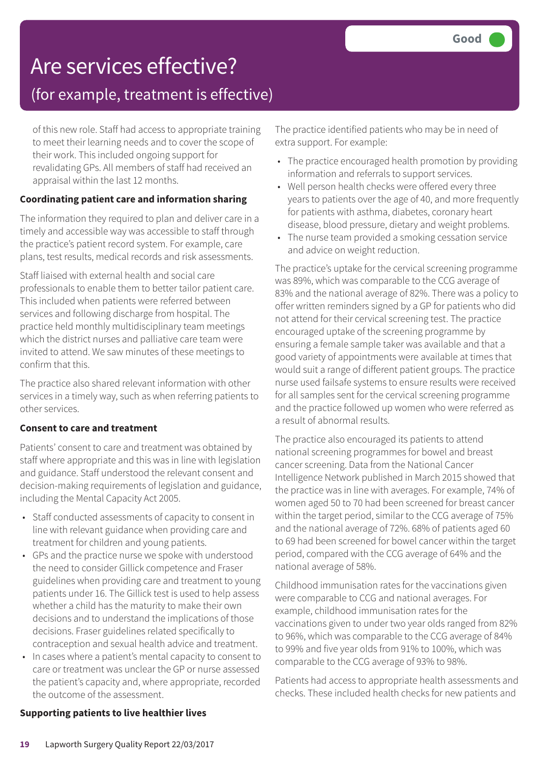### Are services effective?

### (for example, treatment is effective)

of this new role. Staff had access to appropriate training to meet their learning needs and to cover the scope of their work. This included ongoing support for revalidating GPs. All members of staff had received an appraisal within the last 12 months.

### **Coordinating patient care and information sharing**

The information they required to plan and deliver care in a timely and accessible way was accessible to staff through the practice's patient record system. For example, care plans, test results, medical records and risk assessments.

Staff liaised with external health and social care professionals to enable them to better tailor patient care. This included when patients were referred between services and following discharge from hospital. The practice held monthly multidisciplinary team meetings which the district nurses and palliative care team were invited to attend. We saw minutes of these meetings to confirm that this.

The practice also shared relevant information with other services in a timely way, such as when referring patients to other services.

### **Consent to care and treatment**

Patients' consent to care and treatment was obtained by staff where appropriate and this was in line with legislation and guidance. Staff understood the relevant consent and decision-making requirements of legislation and guidance, including the Mental Capacity Act 2005.

- Staff conducted assessments of capacity to consent in line with relevant guidance when providing care and treatment for children and young patients.
- GPs and the practice nurse we spoke with understood the need to consider Gillick competence and Fraser guidelines when providing care and treatment to young patients under 16. The Gillick test is used to help assess whether a child has the maturity to make their own decisions and to understand the implications of those decisions. Fraser guidelines related specifically to contraception and sexual health advice and treatment.
- In cases where a patient's mental capacity to consent to care or treatment was unclear the GP or nurse assessed the patient's capacity and, where appropriate, recorded the outcome of the assessment.

The practice identified patients who may be in need of extra support. For example:

- The practice encouraged health promotion by providing information and referrals to support services.
- Well person health checks were offered every three years to patients over the age of 40, and more frequently for patients with asthma, diabetes, coronary heart disease, blood pressure, dietary and weight problems.
- The nurse team provided a smoking cessation service and advice on weight reduction.

The practice's uptake for the cervical screening programme was 89%, which was comparable to the CCG average of 83% and the national average of 82%. There was a policy to offer written reminders signed by a GP for patients who did not attend for their cervical screening test. The practice encouraged uptake of the screening programme by ensuring a female sample taker was available and that a good variety of appointments were available at times that would suit a range of different patient groups. The practice nurse used failsafe systems to ensure results were received for all samples sent for the cervical screening programme and the practice followed up women who were referred as a result of abnormal results.

The practice also encouraged its patients to attend national screening programmes for bowel and breast cancer screening. Data from the National Cancer Intelligence Network published in March 2015 showed that the practice was in line with averages. For example, 74% of women aged 50 to 70 had been screened for breast cancer within the target period, similar to the CCG average of 75% and the national average of 72%. 68% of patients aged 60 to 69 had been screened for bowel cancer within the target period, compared with the CCG average of 64% and the national average of 58%.

Childhood immunisation rates for the vaccinations given were comparable to CCG and national averages. For example, childhood immunisation rates for the vaccinations given to under two year olds ranged from 82% to 96%, which was comparable to the CCG average of 84% to 99% and five year olds from 91% to 100%, which was comparable to the CCG average of 93% to 98%.

Patients had access to appropriate health assessments and checks. These included health checks for new patients and

#### **Supporting patients to live healthier lives**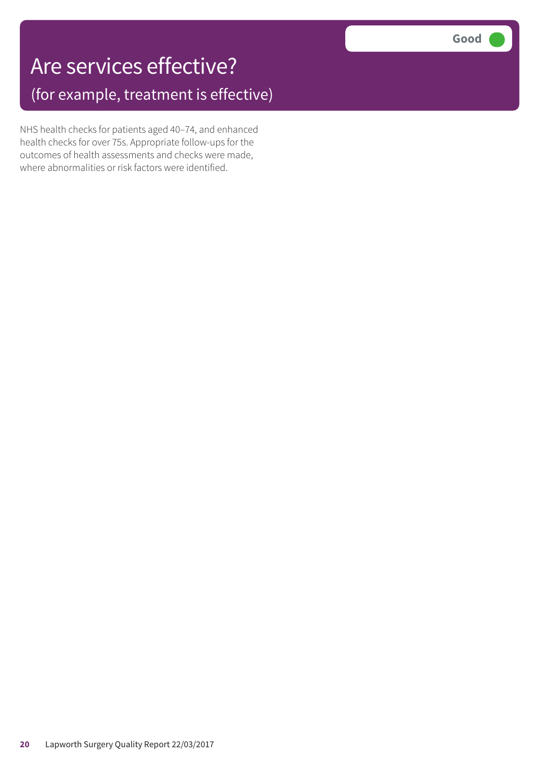### Are services effective? (for example, treatment is effective)

NHS health checks for patients aged 40–74, and enhanced health checks for over 75s. Appropriate follow-ups for the outcomes of health assessments and checks were made, where abnormalities or risk factors were identified.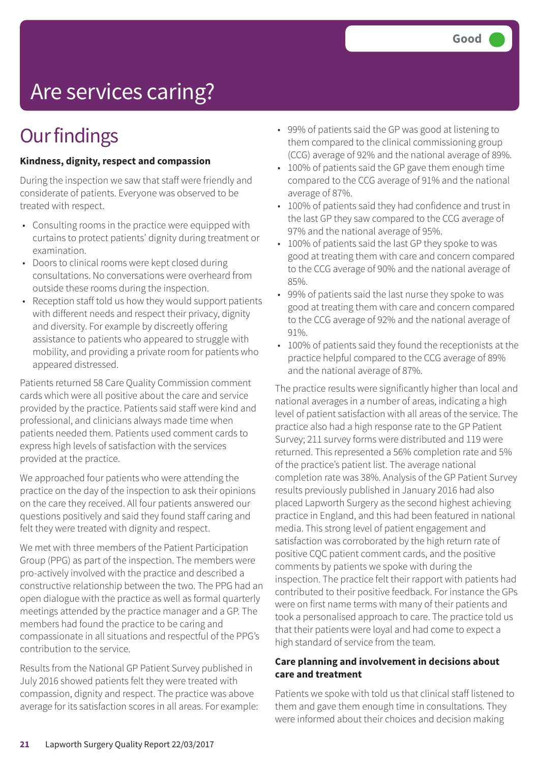# Are services caring?

### **Our findings**

#### **Kindness, dignity, respect and compassion**

During the inspection we saw that staff were friendly and considerate of patients. Everyone was observed to be treated with respect.

- Consulting rooms in the practice were equipped with curtains to protect patients' dignity during treatment or examination.
- Doors to clinical rooms were kept closed during consultations. No conversations were overheard from outside these rooms during the inspection.
- Reception staff told us how they would support patients with different needs and respect their privacy, dignity and diversity. For example by discreetly offering assistance to patients who appeared to struggle with mobility, and providing a private room for patients who appeared distressed.

Patients returned 58 Care Quality Commission comment cards which were all positive about the care and service provided by the practice. Patients said staff were kind and professional, and clinicians always made time when patients needed them. Patients used comment cards to express high levels of satisfaction with the services provided at the practice.

We approached four patients who were attending the practice on the day of the inspection to ask their opinions on the care they received. All four patients answered our questions positively and said they found staff caring and felt they were treated with dignity and respect.

We met with three members of the Patient Participation Group (PPG) as part of the inspection. The members were pro-actively involved with the practice and described a constructive relationship between the two. The PPG had an open dialogue with the practice as well as formal quarterly meetings attended by the practice manager and a GP. The members had found the practice to be caring and compassionate in all situations and respectful of the PPG's contribution to the service.

Results from the National GP Patient Survey published in July 2016 showed patients felt they were treated with compassion, dignity and respect. The practice was above average for its satisfaction scores in all areas. For example:

- 99% of patients said the GP was good at listening to them compared to the clinical commissioning group (CCG) average of 92% and the national average of 89%.
- 100% of patients said the GP gave them enough time compared to the CCG average of 91% and the national average of 87%.
- 100% of patients said they had confidence and trust in the last GP they saw compared to the CCG average of 97% and the national average of 95%.
- 100% of patients said the last GP they spoke to was good at treating them with care and concern compared to the CCG average of 90% and the national average of 85%.
- 99% of patients said the last nurse they spoke to was good at treating them with care and concern compared to the CCG average of 92% and the national average of 91%.
- 100% of patients said they found the receptionists at the practice helpful compared to the CCG average of 89% and the national average of 87%.

The practice results were significantly higher than local and national averages in a number of areas, indicating a high level of patient satisfaction with all areas of the service. The practice also had a high response rate to the GP Patient Survey; 211 survey forms were distributed and 119 were returned. This represented a 56% completion rate and 5% of the practice's patient list. The average national completion rate was 38%. Analysis of the GP Patient Survey results previously published in January 2016 had also placed Lapworth Surgery as the second highest achieving practice in England, and this had been featured in national media. This strong level of patient engagement and satisfaction was corroborated by the high return rate of positive CQC patient comment cards, and the positive comments by patients we spoke with during the inspection. The practice felt their rapport with patients had contributed to their positive feedback. For instance the GPs were on first name terms with many of their patients and took a personalised approach to care. The practice told us that their patients were loyal and had come to expect a high standard of service from the team.

#### **Care planning and involvement in decisions about care and treatment**

Patients we spoke with told us that clinical staff listened to them and gave them enough time in consultations. They were informed about their choices and decision making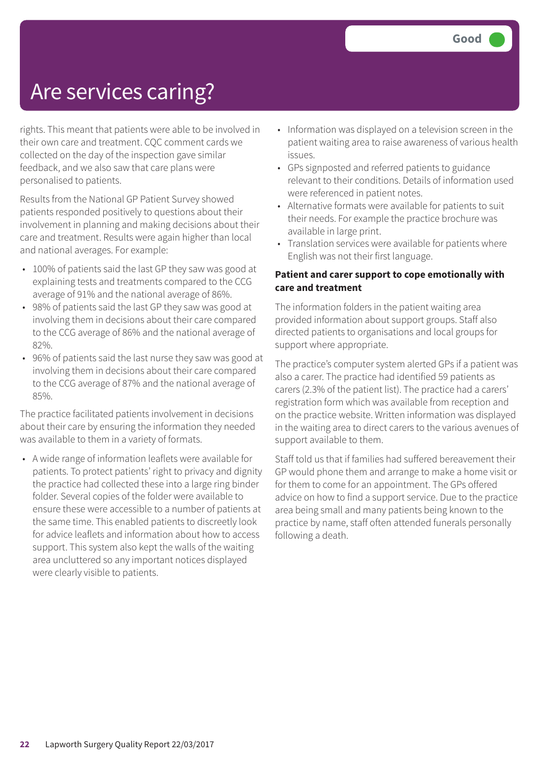### Are services caring?

rights. This meant that patients were able to be involved in their own care and treatment. CQC comment cards we collected on the day of the inspection gave similar feedback, and we also saw that care plans were personalised to patients.

Results from the National GP Patient Survey showed patients responded positively to questions about their involvement in planning and making decisions about their care and treatment. Results were again higher than local and national averages. For example:

- 100% of patients said the last GP they saw was good at explaining tests and treatments compared to the CCG average of 91% and the national average of 86%.
- 98% of patients said the last GP they saw was good at involving them in decisions about their care compared to the CCG average of 86% and the national average of 82%.
- 96% of patients said the last nurse they saw was good at involving them in decisions about their care compared to the CCG average of 87% and the national average of 85%.

The practice facilitated patients involvement in decisions about their care by ensuring the information they needed was available to them in a variety of formats.

• A wide range of information leaflets were available for patients. To protect patients' right to privacy and dignity the practice had collected these into a large ring binder folder. Several copies of the folder were available to ensure these were accessible to a number of patients at the same time. This enabled patients to discreetly look for advice leaflets and information about how to access support. This system also kept the walls of the waiting area uncluttered so any important notices displayed were clearly visible to patients.

- Information was displayed on a television screen in the patient waiting area to raise awareness of various health issues.
- GPs signposted and referred patients to guidance relevant to their conditions. Details of information used were referenced in patient notes.
- Alternative formats were available for patients to suit their needs. For example the practice brochure was available in large print.
- Translation services were available for patients where English was not their first language.

#### **Patient and carer support to cope emotionally with care and treatment**

The information folders in the patient waiting area provided information about support groups. Staff also directed patients to organisations and local groups for support where appropriate.

The practice's computer system alerted GPs if a patient was also a carer. The practice had identified 59 patients as carers (2.3% of the patient list). The practice had a carers' registration form which was available from reception and on the practice website. Written information was displayed in the waiting area to direct carers to the various avenues of support available to them.

Staff told us that if families had suffered bereavement their GP would phone them and arrange to make a home visit or for them to come for an appointment. The GPs offered advice on how to find a support service. Due to the practice area being small and many patients being known to the practice by name, staff often attended funerals personally following a death.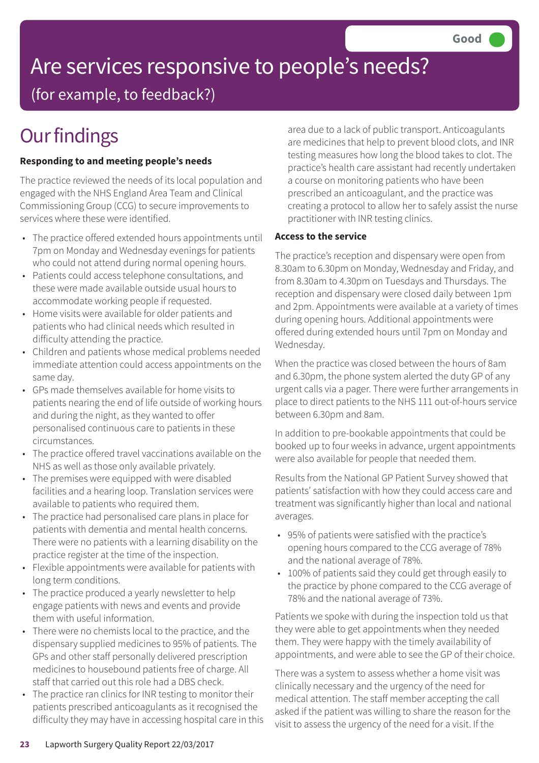# Are services responsive to people's needs?

(for example, to feedback?)

# **Our findings**

### **Responding to and meeting people's needs**

The practice reviewed the needs of its local population and engaged with the NHS England Area Team and Clinical Commissioning Group (CCG) to secure improvements to services where these were identified.

- The practice offered extended hours appointments until 7pm on Monday and Wednesday evenings for patients who could not attend during normal opening hours.
- Patients could access telephone consultations, and these were made available outside usual hours to accommodate working people if requested.
- Home visits were available for older patients and patients who had clinical needs which resulted in difficulty attending the practice.
- Children and patients whose medical problems needed immediate attention could access appointments on the same day.
- GPs made themselves available for home visits to patients nearing the end of life outside of working hours and during the night, as they wanted to offer personalised continuous care to patients in these circumstances.
- The practice offered travel vaccinations available on the NHS as well as those only available privately.
- The premises were equipped with were disabled facilities and a hearing loop. Translation services were available to patients who required them.
- The practice had personalised care plans in place for patients with dementia and mental health concerns. There were no patients with a learning disability on the practice register at the time of the inspection.
- Flexible appointments were available for patients with long term conditions.
- The practice produced a yearly newsletter to help engage patients with news and events and provide them with useful information.
- There were no chemists local to the practice, and the dispensary supplied medicines to 95% of patients. The GPs and other staff personally delivered prescription medicines to housebound patients free of charge. All staff that carried out this role had a DBS check.
- The practice ran clinics for INR testing to monitor their patients prescribed anticoagulants as it recognised the difficulty they may have in accessing hospital care in this

area due to a lack of public transport. Anticoagulants are medicines that help to prevent blood clots, and INR testing measures how long the blood takes to clot. The practice's health care assistant had recently undertaken a course on monitoring patients who have been prescribed an anticoagulant, and the practice was creating a protocol to allow her to safely assist the nurse practitioner with INR testing clinics.

### **Access to the service**

The practice's reception and dispensary were open from 8.30am to 6.30pm on Monday, Wednesday and Friday, and from 8.30am to 4.30pm on Tuesdays and Thursdays. The reception and dispensary were closed daily between 1pm and 2pm. Appointments were available at a variety of times during opening hours. Additional appointments were offered during extended hours until 7pm on Monday and Wednesday.

When the practice was closed between the hours of 8am and 6.30pm, the phone system alerted the duty GP of any urgent calls via a pager. There were further arrangements in place to direct patients to the NHS 111 out-of-hours service between 6.30pm and 8am.

In addition to pre-bookable appointments that could be booked up to four weeks in advance, urgent appointments were also available for people that needed them.

Results from the National GP Patient Survey showed that patients' satisfaction with how they could access care and treatment was significantly higher than local and national averages.

- 95% of patients were satisfied with the practice's opening hours compared to the CCG average of 78% and the national average of 78%.
- 100% of patients said they could get through easily to the practice by phone compared to the CCG average of 78% and the national average of 73%.

Patients we spoke with during the inspection told us that they were able to get appointments when they needed them. They were happy with the timely availability of appointments, and were able to see the GP of their choice.

There was a system to assess whether a home visit was clinically necessary and the urgency of the need for medical attention. The staff member accepting the call asked if the patient was willing to share the reason for the visit to assess the urgency of the need for a visit. If the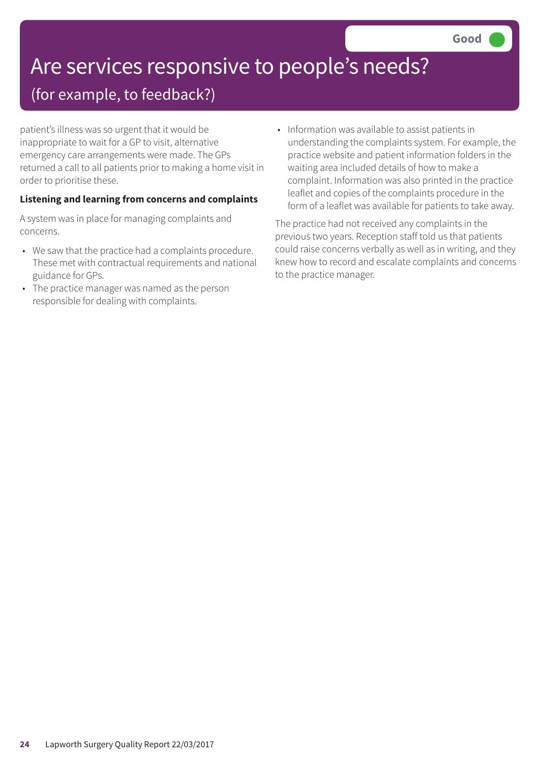# Are services responsive to people's needs?

### (for example, to feedback?)

patient's illness was so urgent that it would be inappropriate to wait for a GP to visit, alternative emergency care arrangements were made. The GPs returned a call to all patients prior to making a home visit in order to prioritise these.

### **Listening and learning from concerns and complaints**

A system was in place for managing complaints and concerns.

- We saw that the practice had a complaints procedure. These met with contractual requirements and national guidance for GPs.
- The practice manager was named as the person responsible for dealing with complaints.

• Information was available to assist patients in understanding the complaints system. For example, the practice website and patient information folders in the waiting area included details of how to make a complaint. Information was also printed in the practice leaflet and copies of the complaints procedure in the form of a leaflet was available for patients to take away.

The practice had not received any complaints in the previous two years. Reception staff told us that patients could raise concerns verbally as well as in writing, and they knew how to record and escalate complaints and concerns to the practice manager.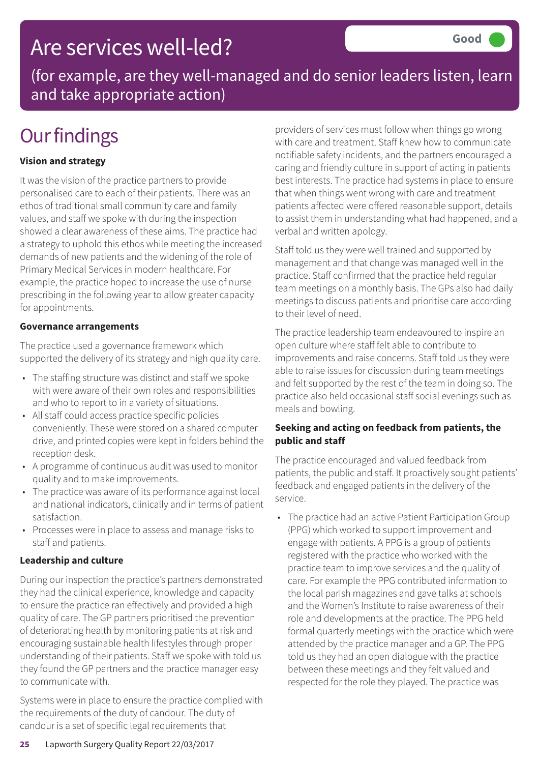### Are services well-led?

(for example, are they well-managed and do senior leaders listen, learn and take appropriate action)

## **Our findings**

### **Vision and strategy**

It was the vision of the practice partners to provide personalised care to each of their patients. There was an ethos of traditional small community care and family values, and staff we spoke with during the inspection showed a clear awareness of these aims. The practice had a strategy to uphold this ethos while meeting the increased demands of new patients and the widening of the role of Primary Medical Services in modern healthcare. For example, the practice hoped to increase the use of nurse prescribing in the following year to allow greater capacity for appointments.

#### **Governance arrangements**

The practice used a governance framework which supported the delivery of its strategy and high quality care.

- The staffing structure was distinct and staff we spoke with were aware of their own roles and responsibilities and who to report to in a variety of situations.
- All staff could access practice specific policies conveniently. These were stored on a shared computer drive, and printed copies were kept in folders behind the reception desk.
- A programme of continuous audit was used to monitor quality and to make improvements.
- The practice was aware of its performance against local and national indicators, clinically and in terms of patient satisfaction.
- Processes were in place to assess and manage risks to staff and patients.

#### **Leadership and culture**

During our inspection the practice's partners demonstrated they had the clinical experience, knowledge and capacity to ensure the practice ran effectively and provided a high quality of care. The GP partners prioritised the prevention of deteriorating health by monitoring patients at risk and encouraging sustainable health lifestyles through proper understanding of their patients. Staff we spoke with told us they found the GP partners and the practice manager easy to communicate with.

Systems were in place to ensure the practice complied with the requirements of the duty of candour. The duty of candour is a set of specific legal requirements that

providers of services must follow when things go wrong with care and treatment. Staff knew how to communicate notifiable safety incidents, and the partners encouraged a caring and friendly culture in support of acting in patients best interests. The practice had systems in place to ensure that when things went wrong with care and treatment patients affected were offered reasonable support, details to assist them in understanding what had happened, and a verbal and written apology.

Staff told us they were well trained and supported by management and that change was managed well in the practice. Staff confirmed that the practice held regular team meetings on a monthly basis. The GPs also had daily meetings to discuss patients and prioritise care according to their level of need.

The practice leadership team endeavoured to inspire an open culture where staff felt able to contribute to improvements and raise concerns. Staff told us they were able to raise issues for discussion during team meetings and felt supported by the rest of the team in doing so. The practice also held occasional staff social evenings such as meals and bowling.

#### **Seeking and acting on feedback from patients, the public and staff**

The practice encouraged and valued feedback from patients, the public and staff. It proactively sought patients' feedback and engaged patients in the delivery of the service.

• The practice had an active Patient Participation Group (PPG) which worked to support improvement and engage with patients. A PPG is a group of patients registered with the practice who worked with the practice team to improve services and the quality of care. For example the PPG contributed information to the local parish magazines and gave talks at schools and the Women's Institute to raise awareness of their role and developments at the practice. The PPG held formal quarterly meetings with the practice which were attended by the practice manager and a GP. The PPG told us they had an open dialogue with the practice between these meetings and they felt valued and respected for the role they played. The practice was